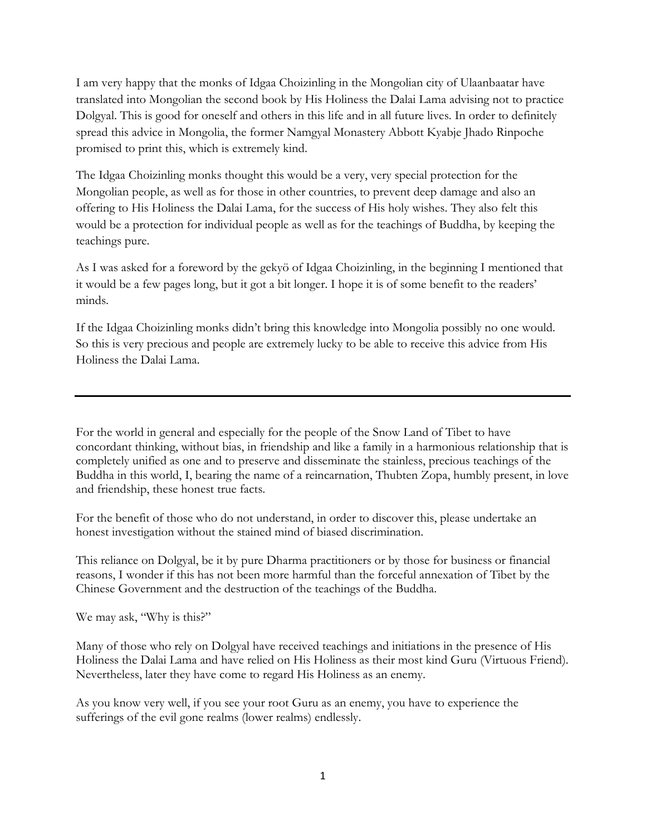I am very happy that the monks of Idgaa Choizinling in the Mongolian city of Ulaanbaatar have translated into Mongolian the second book by His Holiness the Dalai Lama advising not to practice Dolgyal. This is good for oneself and others in this life and in all future lives. In order to definitely spread this advice in Mongolia, the former Namgyal Monastery Abbott Kyabje Jhado Rinpoche promised to print this, which is extremely kind.

The Idgaa Choizinling monks thought this would be a very, very special protection for the Mongolian people, as well as for those in other countries, to prevent deep damage and also an offering to His Holiness the Dalai Lama, for the success of His holy wishes. They also felt this would be a protection for individual people as well as for the teachings of Buddha, by keeping the teachings pure.

As I was asked for a foreword by the gekyö of Idgaa Choizinling, in the beginning I mentioned that it would be a few pages long, but it got a bit longer. I hope it is of some benefit to the readers' minds.

If the Idgaa Choizinling monks didn't bring this knowledge into Mongolia possibly no one would. So this is very precious and people are extremely lucky to be able to receive this advice from His Holiness the Dalai Lama.

For the world in general and especially for the people of the Snow Land of Tibet to have concordant thinking, without bias, in friendship and like a family in a harmonious relationship that is completely unified as one and to preserve and disseminate the stainless, precious teachings of the Buddha in this world, I, bearing the name of a reincarnation, Thubten Zopa, humbly present, in love and friendship, these honest true facts.

For the benefit of those who do not understand, in order to discover this, please undertake an honest investigation without the stained mind of biased discrimination.

This reliance on Dolgyal, be it by pure Dharma practitioners or by those for business or financial reasons, I wonder if this has not been more harmful than the forceful annexation of Tibet by the Chinese Government and the destruction of the teachings of the Buddha.

We may ask, "Why is this?"

Many of those who rely on Dolgyal have received teachings and initiations in the presence of His Holiness the Dalai Lama and have relied on His Holiness as their most kind Guru (Virtuous Friend). Nevertheless, later they have come to regard His Holiness as an enemy.

As you know very well, if you see your root Guru as an enemy, you have to experience the sufferings of the evil gone realms (lower realms) endlessly.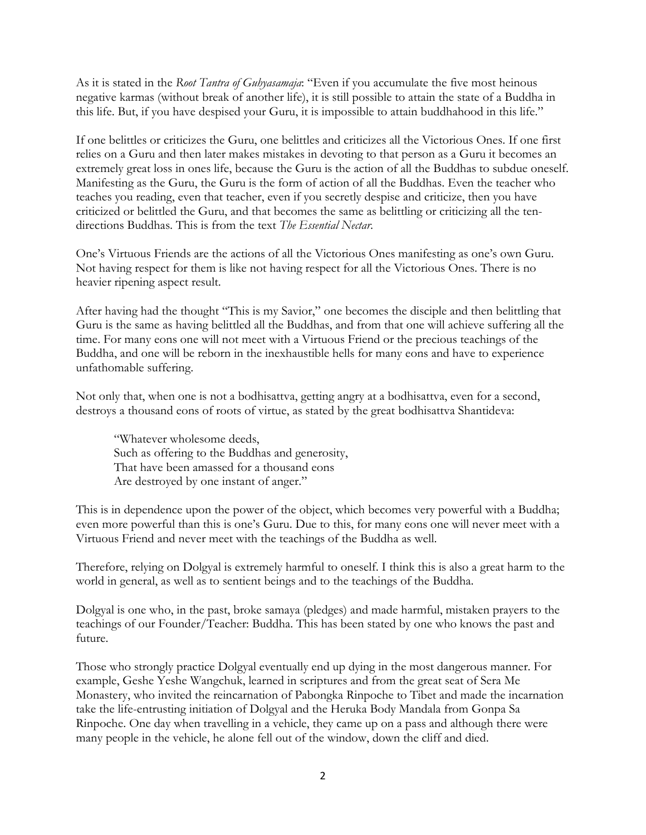As it is stated in the *Root Tantra of Guhyasamaja*: "Even if you accumulate the five most heinous negative karmas (without break of another life), it is still possible to attain the state of a Buddha in this life. But, if you have despised your Guru, it is impossible to attain buddhahood in this life."

If one belittles or criticizes the Guru, one belittles and criticizes all the Victorious Ones. If one first relies on a Guru and then later makes mistakes in devoting to that person as a Guru it becomes an extremely great loss in ones life, because the Guru is the action of all the Buddhas to subdue oneself. Manifesting as the Guru, the Guru is the form of action of all the Buddhas. Even the teacher who teaches you reading, even that teacher, even if you secretly despise and criticize, then you have criticized or belittled the Guru, and that becomes the same as belittling or criticizing all the tendirections Buddhas. This is from the text *The Essential Nectar*.

One's Virtuous Friends are the actions of all the Victorious Ones manifesting as one's own Guru. Not having respect for them is like not having respect for all the Victorious Ones. There is no heavier ripening aspect result.

After having had the thought "This is my Savior," one becomes the disciple and then belittling that Guru is the same as having belittled all the Buddhas, and from that one will achieve suffering all the time. For many eons one will not meet with a Virtuous Friend or the precious teachings of the Buddha, and one will be reborn in the inexhaustible hells for many eons and have to experience unfathomable suffering.

Not only that, when one is not a bodhisattva, getting angry at a bodhisattva, even for a second, destroys a thousand eons of roots of virtue, as stated by the great bodhisattva Shantideva:

"Whatever wholesome deeds, Such as offering to the Buddhas and generosity, That have been amassed for a thousand eons Are destroyed by one instant of anger."

This is in dependence upon the power of the object, which becomes very powerful with a Buddha; even more powerful than this is one's Guru. Due to this, for many eons one will never meet with a Virtuous Friend and never meet with the teachings of the Buddha as well.

Therefore, relying on Dolgyal is extremely harmful to oneself. I think this is also a great harm to the world in general, as well as to sentient beings and to the teachings of the Buddha.

Dolgyal is one who, in the past, broke samaya (pledges) and made harmful, mistaken prayers to the teachings of our Founder/Teacher: Buddha. This has been stated by one who knows the past and future.

Those who strongly practice Dolgyal eventually end up dying in the most dangerous manner. For example, Geshe Yeshe Wangchuk, learned in scriptures and from the great seat of Sera Me Monastery, who invited the reincarnation of Pabongka Rinpoche to Tibet and made the incarnation take the life-entrusting initiation of Dolgyal and the Heruka Body Mandala from Gonpa Sa Rinpoche. One day when travelling in a vehicle, they came up on a pass and although there were many people in the vehicle, he alone fell out of the window, down the cliff and died.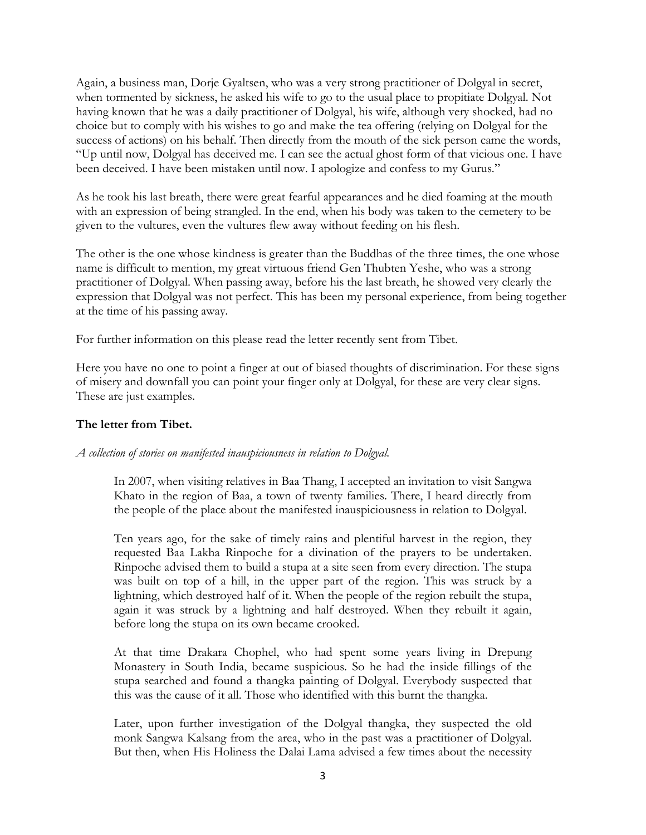Again, a business man, Dorje Gyaltsen, who was a very strong practitioner of Dolgyal in secret, when tormented by sickness, he asked his wife to go to the usual place to propitiate Dolgyal. Not having known that he was a daily practitioner of Dolgyal, his wife, although very shocked, had no choice but to comply with his wishes to go and make the tea offering (relying on Dolgyal for the success of actions) on his behalf. Then directly from the mouth of the sick person came the words, "Up until now, Dolgyal has deceived me. I can see the actual ghost form of that vicious one. I have been deceived. I have been mistaken until now. I apologize and confess to my Gurus."

As he took his last breath, there were great fearful appearances and he died foaming at the mouth with an expression of being strangled. In the end, when his body was taken to the cemetery to be given to the vultures, even the vultures flew away without feeding on his flesh.

The other is the one whose kindness is greater than the Buddhas of the three times, the one whose name is difficult to mention, my great virtuous friend Gen Thubten Yeshe, who was a strong practitioner of Dolgyal. When passing away, before his the last breath, he showed very clearly the expression that Dolgyal was not perfect. This has been my personal experience, from being together at the time of his passing away.

For further information on this please read the letter recently sent from Tibet.

Here you have no one to point a finger at out of biased thoughts of discrimination. For these signs of misery and downfall you can point your finger only at Dolgyal, for these are very clear signs. These are just examples.

## **The letter from Tibet.**

## *A collection of stories on manifested inauspiciousness in relation to Dolgyal.*

In 2007, when visiting relatives in Baa Thang, I accepted an invitation to visit Sangwa Khato in the region of Baa, a town of twenty families. There, I heard directly from the people of the place about the manifested inauspiciousness in relation to Dolgyal.

Ten years ago, for the sake of timely rains and plentiful harvest in the region, they requested Baa Lakha Rinpoche for a divination of the prayers to be undertaken. Rinpoche advised them to build a stupa at a site seen from every direction. The stupa was built on top of a hill, in the upper part of the region. This was struck by a lightning, which destroyed half of it. When the people of the region rebuilt the stupa, again it was struck by a lightning and half destroyed. When they rebuilt it again, before long the stupa on its own became crooked.

At that time Drakara Chophel, who had spent some years living in Drepung Monastery in South India, became suspicious. So he had the inside fillings of the stupa searched and found a thangka painting of Dolgyal. Everybody suspected that this was the cause of it all. Those who identified with this burnt the thangka.

Later, upon further investigation of the Dolgyal thangka, they suspected the old monk Sangwa Kalsang from the area, who in the past was a practitioner of Dolgyal. But then, when His Holiness the Dalai Lama advised a few times about the necessity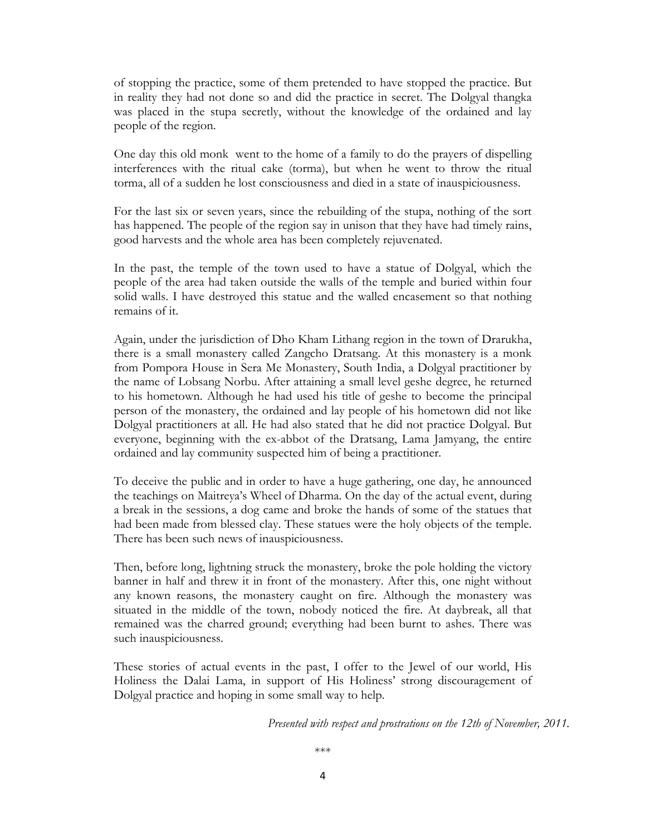of stopping the practice, some of them pretended to have stopped the practice. But in reality they had not done so and did the practice in secret. The Dolgyal thangka was placed in the stupa secretly, without the knowledge of the ordained and lay people of the region.

One day this old monk went to the home of a family to do the prayers of dispelling interferences with the ritual cake (torma), but when he went to throw the ritual torma, all of a sudden he lost consciousness and died in a state of inauspiciousness.

For the last six or seven years, since the rebuilding of the stupa, nothing of the sort has happened. The people of the region say in unison that they have had timely rains, good harvests and the whole area has been completely rejuvenated.

In the past, the temple of the town used to have a statue of Dolgyal, which the people of the area had taken outside the walls of the temple and buried within four solid walls. I have destroyed this statue and the walled encasement so that nothing remains of it.

Again, under the jurisdiction of Dho Kham Lithang region in the town of Drarukha, there is a small monastery called Zangcho Dratsang. At this monastery is a monk from Pompora House in Sera Me Monastery, South India, a Dolgyal practitioner by the name of Lobsang Norbu. After attaining a small level geshe degree, he returned to his hometown. Although he had used his title of geshe to become the principal person of the monastery, the ordained and lay people of his hometown did not like Dolgyal practitioners at all. He had also stated that he did not practice Dolgyal. But everyone, beginning with the ex-abbot of the Dratsang, Lama Jamyang, the entire ordained and lay community suspected him of being a practitioner.

To deceive the public and in order to have a huge gathering, one day, he announced the teachings on Maitreya's Wheel of Dharma. On the day of the actual event, during a break in the sessions, a dog came and broke the hands of some of the statues that had been made from blessed clay. These statues were the holy objects of the temple. There has been such news of inauspiciousness.

Then, before long, lightning struck the monastery, broke the pole holding the victory banner in half and threw it in front of the monastery. After this, one night without any known reasons, the monastery caught on fire. Although the monastery was situated in the middle of the town, nobody noticed the fire. At daybreak, all that remained was the charred ground; everything had been burnt to ashes. There was such inauspiciousness.

These stories of actual events in the past, I offer to the Jewel of our world, His Holiness the Dalai Lama, in support of His Holiness' strong discouragement of Dolgyal practice and hoping in some small way to help.

*Presented with respect and prostrations on the 12th of November, 2011.*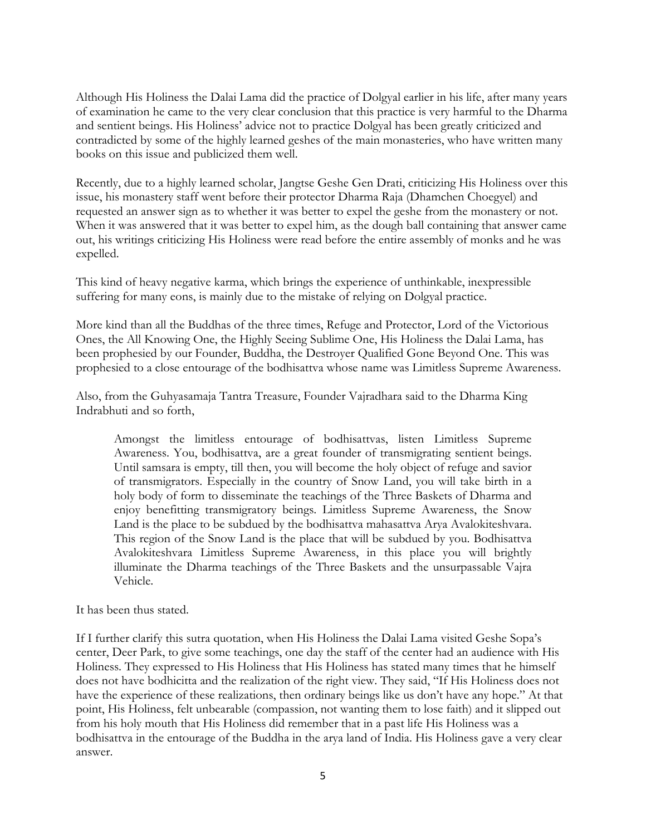Although His Holiness the Dalai Lama did the practice of Dolgyal earlier in his life, after many years of examination he came to the very clear conclusion that this practice is very harmful to the Dharma and sentient beings. His Holiness' advice not to practice Dolgyal has been greatly criticized and contradicted by some of the highly learned geshes of the main monasteries, who have written many books on this issue and publicized them well.

Recently, due to a highly learned scholar, Jangtse Geshe Gen Drati, criticizing His Holiness over this issue, his monastery staff went before their protector Dharma Raja (Dhamchen Choegyel) and requested an answer sign as to whether it was better to expel the geshe from the monastery or not. When it was answered that it was better to expel him, as the dough ball containing that answer came out, his writings criticizing His Holiness were read before the entire assembly of monks and he was expelled.

This kind of heavy negative karma, which brings the experience of unthinkable, inexpressible suffering for many eons, is mainly due to the mistake of relying on Dolgyal practice.

More kind than all the Buddhas of the three times, Refuge and Protector, Lord of the Victorious Ones, the All Knowing One, the Highly Seeing Sublime One, His Holiness the Dalai Lama, has been prophesied by our Founder, Buddha, the Destroyer Qualified Gone Beyond One. This was prophesied to a close entourage of the bodhisattva whose name was Limitless Supreme Awareness.

Also, from the Guhyasamaja Tantra Treasure, Founder Vajradhara said to the Dharma King Indrabhuti and so forth,

Amongst the limitless entourage of bodhisattvas, listen Limitless Supreme Awareness. You, bodhisattva, are a great founder of transmigrating sentient beings. Until samsara is empty, till then, you will become the holy object of refuge and savior of transmigrators. Especially in the country of Snow Land, you will take birth in a holy body of form to disseminate the teachings of the Three Baskets of Dharma and enjoy benefitting transmigratory beings. Limitless Supreme Awareness, the Snow Land is the place to be subdued by the bodhisattva mahasattva Arya Avalokiteshvara. This region of the Snow Land is the place that will be subdued by you. Bodhisattva Avalokiteshvara Limitless Supreme Awareness, in this place you will brightly illuminate the Dharma teachings of the Three Baskets and the unsurpassable Vajra Vehicle.

It has been thus stated.

If I further clarify this sutra quotation, when His Holiness the Dalai Lama visited Geshe Sopa's center, Deer Park, to give some teachings, one day the staff of the center had an audience with His Holiness. They expressed to His Holiness that His Holiness has stated many times that he himself does not have bodhicitta and the realization of the right view. They said, "If His Holiness does not have the experience of these realizations, then ordinary beings like us don't have any hope." At that point, His Holiness, felt unbearable (compassion, not wanting them to lose faith) and it slipped out from his holy mouth that His Holiness did remember that in a past life His Holiness was a bodhisattva in the entourage of the Buddha in the arya land of India. His Holiness gave a very clear answer.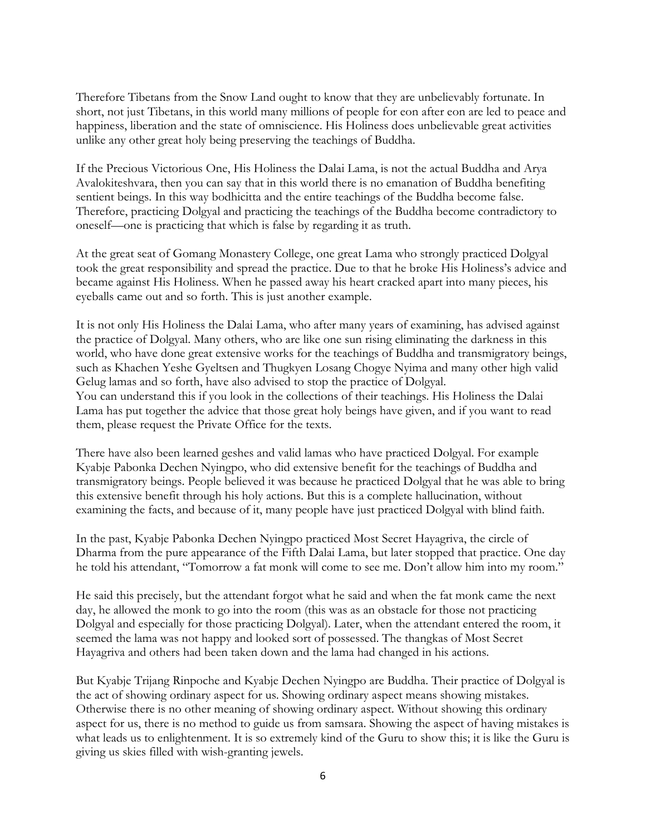Therefore Tibetans from the Snow Land ought to know that they are unbelievably fortunate. In short, not just Tibetans, in this world many millions of people for eon after eon are led to peace and happiness, liberation and the state of omniscience. His Holiness does unbelievable great activities unlike any other great holy being preserving the teachings of Buddha.

If the Precious Victorious One, His Holiness the Dalai Lama, is not the actual Buddha and Arya Avalokiteshvara, then you can say that in this world there is no emanation of Buddha benefiting sentient beings. In this way bodhicitta and the entire teachings of the Buddha become false. Therefore, practicing Dolgyal and practicing the teachings of the Buddha become contradictory to oneself—one is practicing that which is false by regarding it as truth.

At the great seat of Gomang Monastery College, one great Lama who strongly practiced Dolgyal took the great responsibility and spread the practice. Due to that he broke His Holiness's advice and became against His Holiness. When he passed away his heart cracked apart into many pieces, his eyeballs came out and so forth. This is just another example.

It is not only His Holiness the Dalai Lama, who after many years of examining, has advised against the practice of Dolgyal. Many others, who are like one sun rising eliminating the darkness in this world, who have done great extensive works for the teachings of Buddha and transmigratory beings, such as Khachen Yeshe Gyeltsen and Thugkyen Losang Chogye Nyima and many other high valid Gelug lamas and so forth, have also advised to stop the practice of Dolgyal. You can understand this if you look in the collections of their teachings. His Holiness the Dalai Lama has put together the advice that those great holy beings have given, and if you want to read them, please request the Private Office for the texts.

There have also been learned geshes and valid lamas who have practiced Dolgyal. For example Kyabje Pabonka Dechen Nyingpo, who did extensive benefit for the teachings of Buddha and transmigratory beings. People believed it was because he practiced Dolgyal that he was able to bring this extensive benefit through his holy actions. But this is a complete hallucination, without examining the facts, and because of it, many people have just practiced Dolgyal with blind faith.

In the past, Kyabje Pabonka Dechen Nyingpo practiced Most Secret Hayagriva, the circle of Dharma from the pure appearance of the Fifth Dalai Lama, but later stopped that practice. One day he told his attendant, "Tomorrow a fat monk will come to see me. Don't allow him into my room."

He said this precisely, but the attendant forgot what he said and when the fat monk came the next day, he allowed the monk to go into the room (this was as an obstacle for those not practicing Dolgyal and especially for those practicing Dolgyal). Later, when the attendant entered the room, it seemed the lama was not happy and looked sort of possessed. The thangkas of Most Secret Hayagriva and others had been taken down and the lama had changed in his actions.

But Kyabje Trijang Rinpoche and Kyabje Dechen Nyingpo are Buddha. Their practice of Dolgyal is the act of showing ordinary aspect for us. Showing ordinary aspect means showing mistakes. Otherwise there is no other meaning of showing ordinary aspect. Without showing this ordinary aspect for us, there is no method to guide us from samsara. Showing the aspect of having mistakes is what leads us to enlightenment. It is so extremely kind of the Guru to show this; it is like the Guru is giving us skies filled with wish-granting jewels.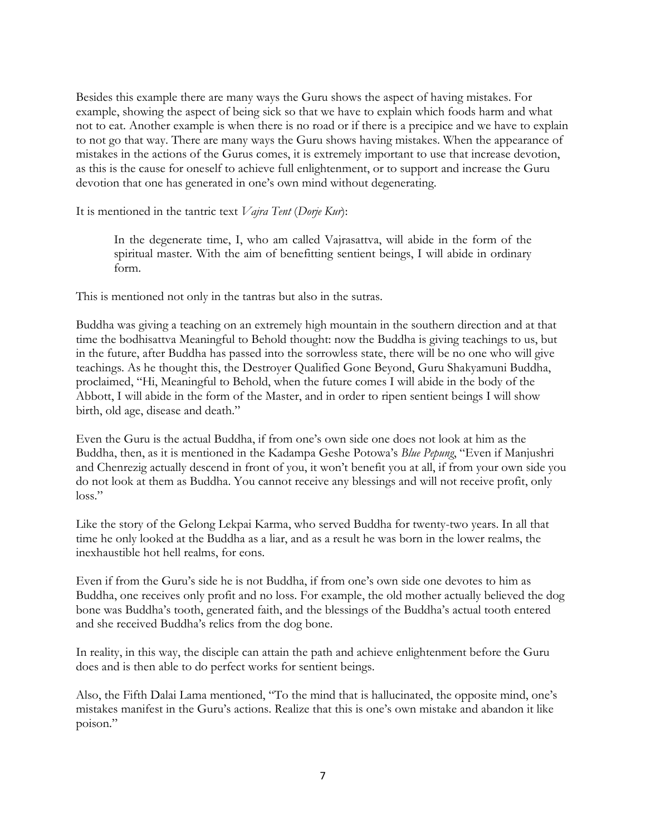Besides this example there are many ways the Guru shows the aspect of having mistakes. For example, showing the aspect of being sick so that we have to explain which foods harm and what not to eat. Another example is when there is no road or if there is a precipice and we have to explain to not go that way. There are many ways the Guru shows having mistakes. When the appearance of mistakes in the actions of the Gurus comes, it is extremely important to use that increase devotion, as this is the cause for oneself to achieve full enlightenment, or to support and increase the Guru devotion that one has generated in one's own mind without degenerating.

It is mentioned in the tantric text *Vajra Tent* (*Dorje Kur*):

In the degenerate time, I, who am called Vajrasattva, will abide in the form of the spiritual master. With the aim of benefitting sentient beings, I will abide in ordinary form.

This is mentioned not only in the tantras but also in the sutras.

Buddha was giving a teaching on an extremely high mountain in the southern direction and at that time the bodhisattva Meaningful to Behold thought: now the Buddha is giving teachings to us, but in the future, after Buddha has passed into the sorrowless state, there will be no one who will give teachings. As he thought this, the Destroyer Qualified Gone Beyond, Guru Shakyamuni Buddha, proclaimed, "Hi, Meaningful to Behold, when the future comes I will abide in the body of the Abbott, I will abide in the form of the Master, and in order to ripen sentient beings I will show birth, old age, disease and death."

Even the Guru is the actual Buddha, if from one's own side one does not look at him as the Buddha, then, as it is mentioned in the Kadampa Geshe Potowa's *Blue Pepung*, "Even if Manjushri and Chenrezig actually descend in front of you, it won't benefit you at all, if from your own side you do not look at them as Buddha. You cannot receive any blessings and will not receive profit, only loss."

Like the story of the Gelong Lekpai Karma, who served Buddha for twenty-two years. In all that time he only looked at the Buddha as a liar, and as a result he was born in the lower realms, the inexhaustible hot hell realms, for eons.

Even if from the Guru's side he is not Buddha, if from one's own side one devotes to him as Buddha, one receives only profit and no loss. For example, the old mother actually believed the dog bone was Buddha's tooth, generated faith, and the blessings of the Buddha's actual tooth entered and she received Buddha's relics from the dog bone.

In reality, in this way, the disciple can attain the path and achieve enlightenment before the Guru does and is then able to do perfect works for sentient beings.

Also, the Fifth Dalai Lama mentioned, "To the mind that is hallucinated, the opposite mind, one's mistakes manifest in the Guru's actions. Realize that this is one's own mistake and abandon it like poison."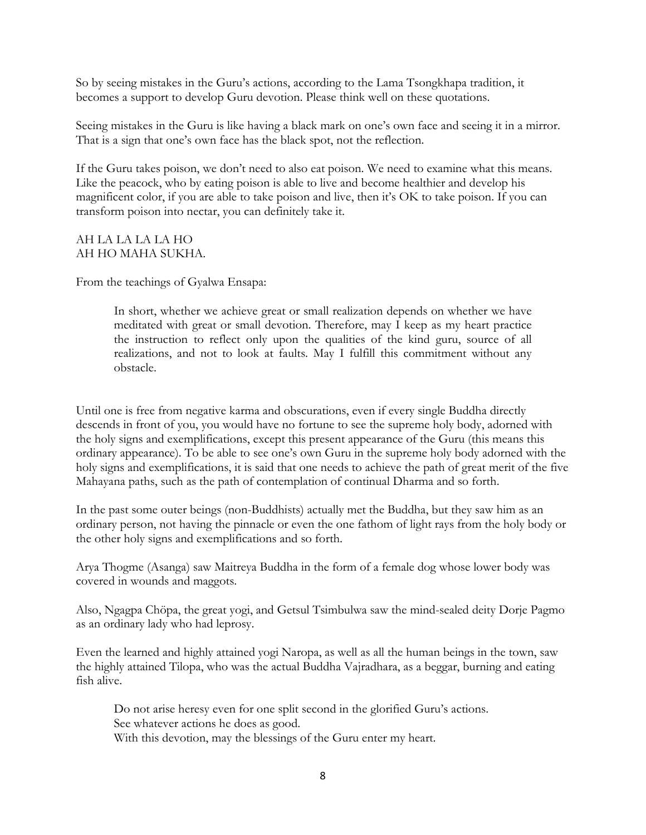So by seeing mistakes in the Guru's actions, according to the Lama Tsongkhapa tradition, it becomes a support to develop Guru devotion. Please think well on these quotations.

Seeing mistakes in the Guru is like having a black mark on one's own face and seeing it in a mirror. That is a sign that one's own face has the black spot, not the reflection.

If the Guru takes poison, we don't need to also eat poison. We need to examine what this means. Like the peacock, who by eating poison is able to live and become healthier and develop his magnificent color, if you are able to take poison and live, then it's OK to take poison. If you can transform poison into nectar, you can definitely take it.

## AH LA LA LA LA HO AH HO MAHA SUKHA.

From the teachings of Gyalwa Ensapa:

In short, whether we achieve great or small realization depends on whether we have meditated with great or small devotion. Therefore, may I keep as my heart practice the instruction to reflect only upon the qualities of the kind guru, source of all realizations, and not to look at faults. May I fulfill this commitment without any obstacle.

Until one is free from negative karma and obscurations, even if every single Buddha directly descends in front of you, you would have no fortune to see the supreme holy body, adorned with the holy signs and exemplifications, except this present appearance of the Guru (this means this ordinary appearance). To be able to see one's own Guru in the supreme holy body adorned with the holy signs and exemplifications, it is said that one needs to achieve the path of great merit of the five Mahayana paths, such as the path of contemplation of continual Dharma and so forth.

In the past some outer beings (non-Buddhists) actually met the Buddha, but they saw him as an ordinary person, not having the pinnacle or even the one fathom of light rays from the holy body or the other holy signs and exemplifications and so forth.

Arya Thogme (Asanga) saw Maitreya Buddha in the form of a female dog whose lower body was covered in wounds and maggots.

Also, Ngagpa Chöpa, the great yogi, and Getsul Tsimbulwa saw the mind-sealed deity Dorje Pagmo as an ordinary lady who had leprosy.

Even the learned and highly attained yogi Naropa, as well as all the human beings in the town, saw the highly attained Tilopa, who was the actual Buddha Vajradhara, as a beggar, burning and eating fish alive.

Do not arise heresy even for one split second in the glorified Guru's actions. See whatever actions he does as good. With this devotion, may the blessings of the Guru enter my heart.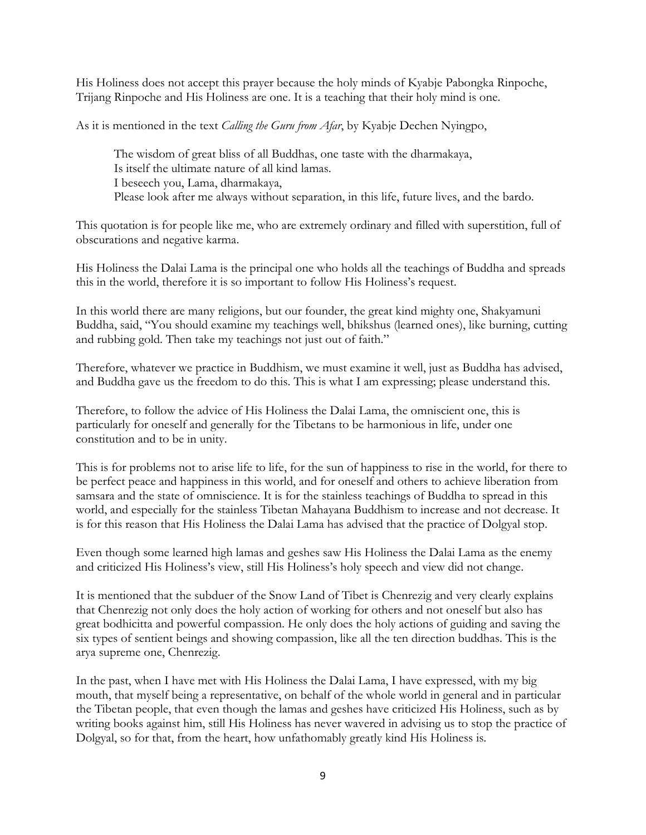His Holiness does not accept this prayer because the holy minds of Kyabje Pabongka Rinpoche, Trijang Rinpoche and His Holiness are one. It is a teaching that their holy mind is one.

As it is mentioned in the text *Calling the Guru from Afar*, by Kyabje Dechen Nyingpo,

The wisdom of great bliss of all Buddhas, one taste with the dharmakaya, Is itself the ultimate nature of all kind lamas. I beseech you, Lama, dharmakaya, Please look after me always without separation, in this life, future lives, and the bardo.

This quotation is for people like me, who are extremely ordinary and filled with superstition, full of obscurations and negative karma.

His Holiness the Dalai Lama is the principal one who holds all the teachings of Buddha and spreads this in the world, therefore it is so important to follow His Holiness's request.

In this world there are many religions, but our founder, the great kind mighty one, Shakyamuni Buddha, said, "You should examine my teachings well, bhikshus (learned ones), like burning, cutting and rubbing gold. Then take my teachings not just out of faith."

Therefore, whatever we practice in Buddhism, we must examine it well, just as Buddha has advised, and Buddha gave us the freedom to do this. This is what I am expressing; please understand this.

Therefore, to follow the advice of His Holiness the Dalai Lama, the omniscient one, this is particularly for oneself and generally for the Tibetans to be harmonious in life, under one constitution and to be in unity.

This is for problems not to arise life to life, for the sun of happiness to rise in the world, for there to be perfect peace and happiness in this world, and for oneself and others to achieve liberation from samsara and the state of omniscience. It is for the stainless teachings of Buddha to spread in this world, and especially for the stainless Tibetan Mahayana Buddhism to increase and not decrease. It is for this reason that His Holiness the Dalai Lama has advised that the practice of Dolgyal stop.

Even though some learned high lamas and geshes saw His Holiness the Dalai Lama as the enemy and criticized His Holiness's view, still His Holiness's holy speech and view did not change.

It is mentioned that the subduer of the Snow Land of Tibet is Chenrezig and very clearly explains that Chenrezig not only does the holy action of working for others and not oneself but also has great bodhicitta and powerful compassion. He only does the holy actions of guiding and saving the six types of sentient beings and showing compassion, like all the ten direction buddhas. This is the arya supreme one, Chenrezig.

In the past, when I have met with His Holiness the Dalai Lama, I have expressed, with my big mouth, that myself being a representative, on behalf of the whole world in general and in particular the Tibetan people, that even though the lamas and geshes have criticized His Holiness, such as by writing books against him, still His Holiness has never wavered in advising us to stop the practice of Dolgyal, so for that, from the heart, how unfathomably greatly kind His Holiness is.